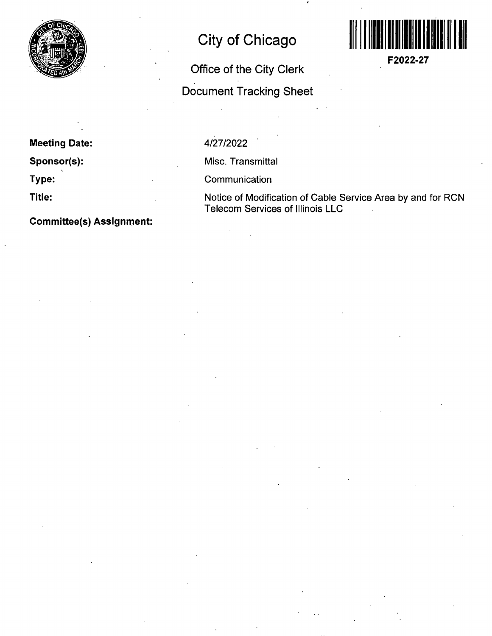

## **City of Chicago**

**Office of the City Clerk Document Tracking Sheet** 



**F2022-27** 

**Meeting Date:** 

**Sponsor(s):** 

**Type:** 

**Title:** 

**Committee(s) Assignment:** 

## 4/27/2022

Misc. Transmittal

**Communication** 

Notice of Modification of Cable Service Area by and for RCN Telecom Services of Illinois LLC